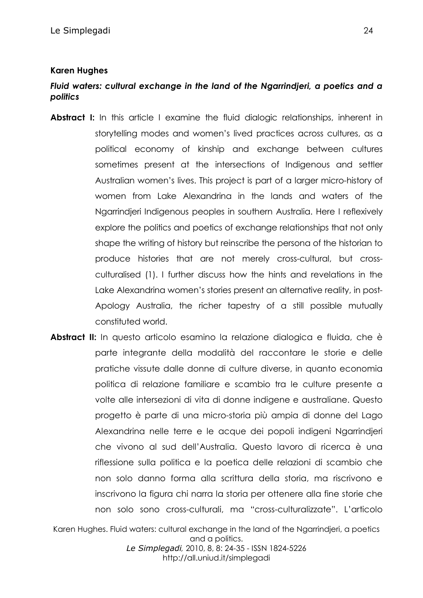## **Karen Hughes**

## *Fluid waters: cultural exchange in the land of the Ngarrindjeri, a poetics and a politics*

- **Abstract I:** In this article I examine the fluid dialogic relationships, inherent in storytelling modes and women's lived practices across cultures, as a political economy of kinship and exchange between cultures sometimes present at the intersections of Indigenous and settler Australian women's lives. This project is part of a larger micro-history of women from Lake Alexandrina in the lands and waters of the Ngarrindjeri Indigenous peoples in southern Australia. Here I reflexively explore the politics and poetics of exchange relationships that not only shape the writing of history but reinscribe the persona of the historian to produce histories that are not merely cross-cultural, but crossculturalised (1). I further discuss how the hints and revelations in the Lake Alexandrina women's stories present an alternative reality, in post-Apology Australia, the richer tapestry of a still possible mutually constituted world.
- **Abstract II:** In questo articolo esamino la relazione dialogica e fluida, che è parte integrante della modalità del raccontare le storie e delle pratiche vissute dalle donne di culture diverse, in quanto economia politica di relazione familiare e scambio tra le culture presente a volte alle intersezioni di vita di donne indigene e australiane. Questo progetto è parte di una micro-storia più ampia di donne del Lago Alexandrina nelle terre e le acque dei popoli indigeni Ngarrindjeri che vivono al sud dell'Australia. Questo lavoro di ricerca è una riflessione sulla politica e la poetica delle relazioni di scambio che non solo danno forma alla scrittura della storia, ma riscrivono e inscrivono la figura chi narra la storia per ottenere alla fine storie che non solo sono cross-culturali, ma "cross-culturalizzate". L'articolo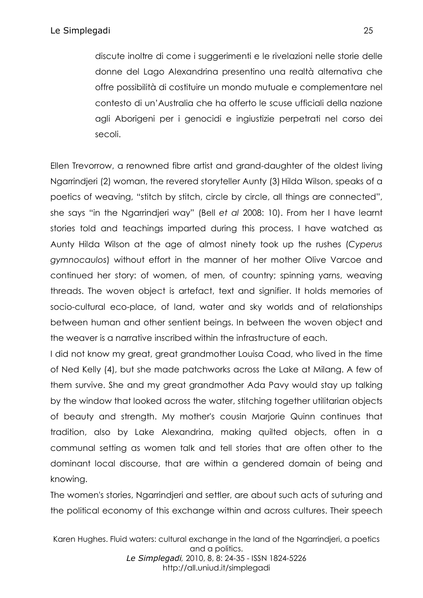discute inoltre di come i suggerimenti e le rivelazioni nelle storie delle donne del Lago Alexandrina presentino una realtà alternativa che offre possibilità di costituire un mondo mutuale e complementare nel contesto di un'Australia che ha offerto le scuse ufficiali della nazione agli Aborigeni per i genocidi e ingiustizie perpetrati nel corso dei secoli.

Ellen Trevorrow, a renowned fibre artist and grand-daughter of the oldest living Ngarrindjeri (2) woman, the revered storyteller Aunty (3) Hilda Wilson, speaks of a poetics of weaving, "stitch by stitch, circle by circle, all things are connected", she says "in the Ngarrindjeri way" (Bell *et al* 2008: 10). From her I have learnt stories told and teachings imparted during this process. I have watched as Aunty Hilda Wilson at the age of almost ninety took up the rushes (*Cyperus gymnocaulos*) without effort in the manner of her mother Olive Varcoe and continued her story: of women, of men, of country; spinning yarns, weaving threads. The woven object is artefact, text and signifier. It holds memories of socio-cultural eco-place, of land, water and sky worlds and of relationships between human and other sentient beings. In between the woven object and the weaver is a narrative inscribed within the infrastructure of each.

I did not know my great, great grandmother Louisa Coad, who lived in the time of Ned Kelly (4), but she made patchworks across the Lake at Milang. A few of them survive. She and my great grandmother Ada Pavy would stay up talking by the window that looked across the water, stitching together utilitarian objects of beauty and strength. My mother's cousin Marjorie Quinn continues that tradition, also by Lake Alexandrina, making quilted objects, often in a communal setting as women talk and tell stories that are often other to the dominant local discourse, that are within a gendered domain of being and knowing.

The women's stories, Ngarrindjeri and settler, are about such acts of suturing and the political economy of this exchange within and across cultures. Their speech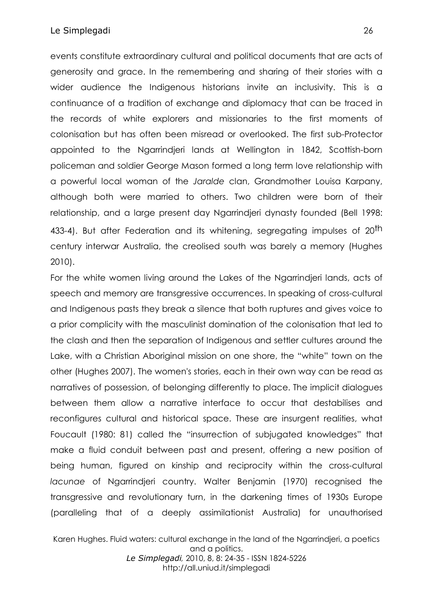events constitute extraordinary cultural and political documents that are acts of generosity and grace. In the remembering and sharing of their stories with a wider audience the Indigenous historians invite an inclusivity. This is a continuance of a tradition of exchange and diplomacy that can be traced in the records of white explorers and missionaries to the first moments of colonisation but has often been misread or overlooked. The first sub-Protector appointed to the Ngarrindjeri lands at Wellington in 1842, Scottish-born policeman and soldier George Mason formed a long term love relationship with a powerful local woman of the *Jaralde* clan, Grandmother Louisa Karpany, although both were married to others. Two children were born of their relationship, and a large present day Ngarrindjeri dynasty founded (Bell 1998: 433-4). But after Federation and its whitening, segregating impulses of 20<sup>th</sup> century interwar Australia, the creolised south was barely a memory (Hughes 2010).

For the white women living around the Lakes of the Ngarrindjeri lands, acts of speech and memory are transgressive occurrences. In speaking of cross-cultural and Indigenous pasts they break a silence that both ruptures and gives voice to a prior complicity with the masculinist domination of the colonisation that led to the clash and then the separation of Indigenous and settler cultures around the Lake, with a Christian Aboriginal mission on one shore, the "white" town on the other (Hughes 2007). The women's stories, each in their own way can be read as narratives of possession, of belonging differently to place. The implicit dialogues between them allow a narrative interface to occur that destabilises and reconfigures cultural and historical space. These are insurgent realities, what Foucault (1980: 81) called the "insurrection of subjugated knowledges" that make a fluid conduit between past and present, offering a new position of being human, figured on kinship and reciprocity within the cross-cultural *lacunae* of Ngarrindjeri country. Walter Benjamin (1970) recognised the transgressive and revolutionary turn, in the darkening times of 1930s Europe (paralleling that of a deeply assimilationist Australia) for unauthorised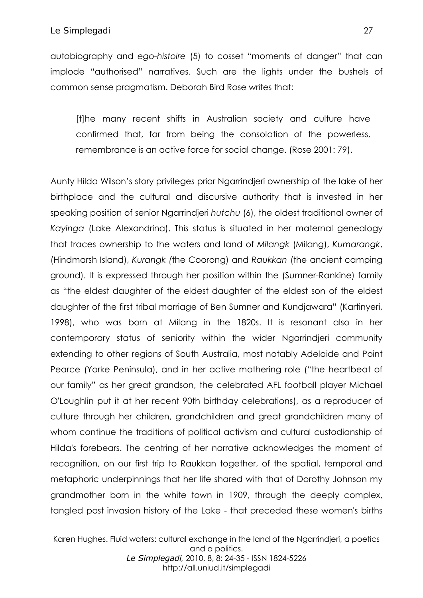autobiography and *ego-histoire* (5) to cosset "moments of danger" that can implode "authorised" narratives. Such are the lights under the bushels of common sense pragmatism. Deborah Bird Rose writes that:

[t]he many recent shifts in Australian society and culture have confirmed that, far from being the consolation of the powerless, remembrance is an active force for social change. (Rose 2001: 79).

Aunty Hilda Wilson's story privileges prior Ngarrindjeri ownership of the lake of her birthplace and the cultural and discursive authority that is invested in her speaking position of senior Ngarrindjeri *hutchu* (6), the oldest traditional owner of *Kayinga* (Lake Alexandrina). This status is situated in her maternal genealogy that traces ownership to the waters and land of *Milangk* (Milang), *Kumarangk*, (Hindmarsh Island), *Kurangk (*the Coorong) and *Raukkan* (the ancient camping ground). It is expressed through her position within the (Sumner-Rankine) family as "the eldest daughter of the eldest daughter of the eldest son of the eldest daughter of the first tribal marriage of Ben Sumner and Kundjawara" (Kartinyeri, 1998), who was born at Milang in the 1820s. It is resonant also in her contemporary status of seniority within the wider Ngarrindjeri community extending to other regions of South Australia, most notably Adelaide and Point Pearce (Yorke Peninsula), and in her active mothering role ("the heartbeat of our family" as her great grandson, the celebrated AFL football player Michael O'Loughlin put it at her recent 90th birthday celebrations), as a reproducer of culture through her children, grandchildren and great grandchildren many of whom continue the traditions of political activism and cultural custodianship of Hilda's forebears. The centring of her narrative acknowledges the moment of recognition, on our first trip to Raukkan together, of the spatial, temporal and metaphoric underpinnings that her life shared with that of Dorothy Johnson my grandmother born in the white town in 1909, through the deeply complex, tangled post invasion history of the Lake - that preceded these women's births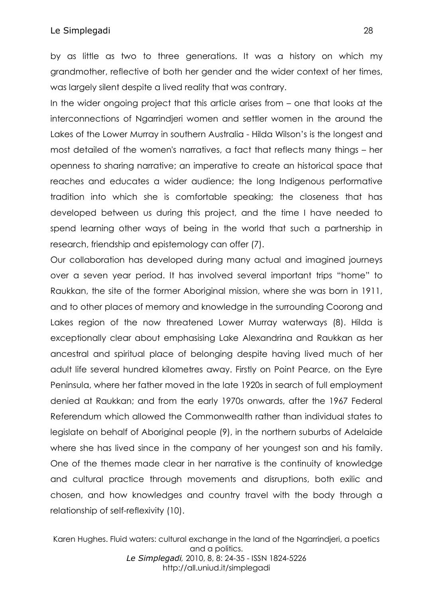## Le Simplegadi 28

by as little as two to three generations. It was a history on which my grandmother, reflective of both her gender and the wider context of her times, was largely silent despite a lived reality that was contrary.

In the wider ongoing project that this article arises from – one that looks at the interconnections of Ngarrindjeri women and settler women in the around the Lakes of the Lower Murray in southern Australia - Hilda Wilson's is the longest and most detailed of the women's narratives, a fact that reflects many things – her openness to sharing narrative; an imperative to create an historical space that reaches and educates a wider audience; the long Indigenous performative tradition into which she is comfortable speaking; the closeness that has developed between us during this project, and the time I have needed to spend learning other ways of being in the world that such a partnership in research, friendship and epistemology can offer (7).

Our collaboration has developed during many actual and imagined journeys over a seven year period. It has involved several important trips "home" to Raukkan, the site of the former Aboriginal mission, where she was born in 1911, and to other places of memory and knowledge in the surrounding Coorong and Lakes region of the now threatened Lower Murray waterways (8). Hilda is exceptionally clear about emphasising Lake Alexandrina and Raukkan as her ancestral and spiritual place of belonging despite having lived much of her adult life several hundred kilometres away. Firstly on Point Pearce, on the Eyre Peninsula, where her father moved in the late 1920s in search of full employment denied at Raukkan; and from the early 1970s onwards, after the 1967 Federal Referendum which allowed the Commonwealth rather than individual states to legislate on behalf of Aboriginal people (9), in the northern suburbs of Adelaide where she has lived since in the company of her youngest son and his family. One of the themes made clear in her narrative is the continuity of knowledge and cultural practice through movements and disruptions, both exilic and chosen, and how knowledges and country travel with the body through a relationship of self-reflexivity (10).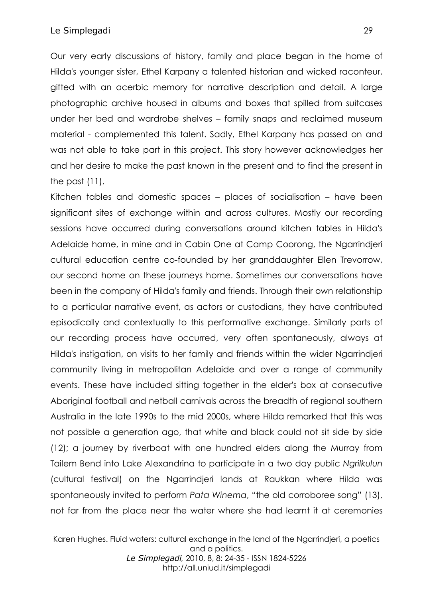#### Le Simplegadi 29

Our very early discussions of history, family and place began in the home of Hilda's younger sister, Ethel Karpany a talented historian and wicked raconteur, gifted with an acerbic memory for narrative description and detail. A large photographic archive housed in albums and boxes that spilled from suitcases under her bed and wardrobe shelves – family snaps and reclaimed museum material - complemented this talent. Sadly, Ethel Karpany has passed on and was not able to take part in this project. This story however acknowledges her and her desire to make the past known in the present and to find the present in the past (11).

Kitchen tables and domestic spaces – places of socialisation – have been significant sites of exchange within and across cultures. Mostly our recording sessions have occurred during conversations around kitchen tables in Hilda's Adelaide home, in mine and in Cabin One at Camp Coorong, the Ngarrindjeri cultural education centre co-founded by her granddaughter Ellen Trevorrow, our second home on these journeys home. Sometimes our conversations have been in the company of Hilda's family and friends. Through their own relationship to a particular narrative event, as actors or custodians, they have contributed episodically and contextually to this performative exchange. Similarly parts of our recording process have occurred, very often spontaneously, always at Hilda's instigation, on visits to her family and friends within the wider Ngarrindjeri community living in metropolitan Adelaide and over a range of community events. These have included sitting together in the elder's box at consecutive Aboriginal football and netball carnivals across the breadth of regional southern Australia in the late 1990s to the mid 2000s, where Hilda remarked that this was not possible a generation ago, that white and black could not sit side by side (12); a journey by riverboat with one hundred elders along the Murray from Tailem Bend into Lake Alexandrina to participate in a two day public *Ngrilkulun* (cultural festival) on the Ngarrindjeri lands at Raukkan where Hilda was spontaneously invited to perform *Pata Winema*, "the old corroboree song" (13), not far from the place near the water where she had learnt it at ceremonies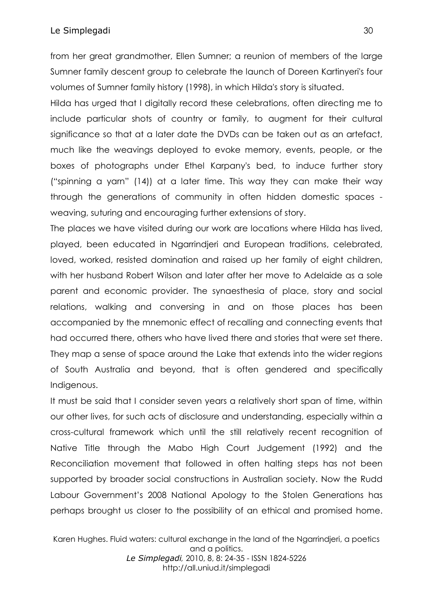from her great grandmother, Ellen Sumner; a reunion of members of the large Sumner family descent group to celebrate the launch of Doreen Kartinyeri's four volumes of Sumner family history (1998), in which Hilda's story is situated.

Hilda has urged that I digitally record these celebrations, often directing me to include particular shots of country or family, to augment for their cultural significance so that at a later date the DVDs can be taken out as an artefact, much like the weavings deployed to evoke memory, events, people, or the boxes of photographs under Ethel Karpany's bed, to induce further story ("spinning a yarn" (14)) at a later time. This way they can make their way through the generations of community in often hidden domestic spaces weaving, suturing and encouraging further extensions of story.

The places we have visited during our work are locations where Hilda has lived, played, been educated in Ngarrindjeri and European traditions, celebrated, loved, worked, resisted domination and raised up her family of eight children, with her husband Robert Wilson and later after her move to Adelaide as a sole parent and economic provider. The synaesthesia of place, story and social relations, walking and conversing in and on those places has been accompanied by the mnemonic effect of recalling and connecting events that had occurred there, others who have lived there and stories that were set there. They map a sense of space around the Lake that extends into the wider regions of South Australia and beyond, that is often gendered and specifically Indigenous.

It must be said that I consider seven years a relatively short span of time, within our other lives, for such acts of disclosure and understanding, especially within a cross-cultural framework which until the still relatively recent recognition of Native Title through the Mabo High Court Judgement (1992) and the Reconciliation movement that followed in often halting steps has not been supported by broader social constructions in Australian society. Now the Rudd Labour Government's 2008 National Apology to the Stolen Generations has perhaps brought us closer to the possibility of an ethical and promised home.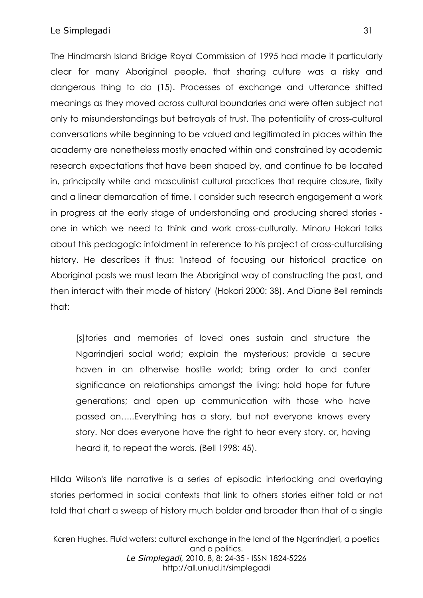## Le Simplegadi 31

The Hindmarsh Island Bridge Royal Commission of 1995 had made it particularly clear for many Aboriginal people, that sharing culture was a risky and dangerous thing to do (15). Processes of exchange and utterance shifted meanings as they moved across cultural boundaries and were often subject not only to misunderstandings but betrayals of trust. The potentiality of cross-cultural conversations while beginning to be valued and legitimated in places within the academy are nonetheless mostly enacted within and constrained by academic research expectations that have been shaped by, and continue to be located in, principally white and masculinist cultural practices that require closure, fixity and a linear demarcation of time. I consider such research engagement a work in progress at the early stage of understanding and producing shared stories one in which we need to think and work cross-culturally. Minoru Hokari talks about this pedagogic infoldment in reference to his project of cross-culturalising history. He describes it thus: 'Instead of focusing our historical practice on Aboriginal pasts we must learn the Aboriginal way of constructing the past, and then interact with their mode of history' (Hokari 2000: 38). And Diane Bell reminds that:

[s]tories and memories of loved ones sustain and structure the Ngarrindjeri social world; explain the mysterious; provide a secure haven in an otherwise hostile world; bring order to and confer significance on relationships amongst the living; hold hope for future generations; and open up communication with those who have passed on…..Everything has a story, but not everyone knows every story. Nor does everyone have the right to hear every story, or, having heard it, to repeat the words. (Bell 1998: 45).

Hilda Wilson's life narrative is a series of episodic interlocking and overlaying stories performed in social contexts that link to others stories either told or not told that chart a sweep of history much bolder and broader than that of a single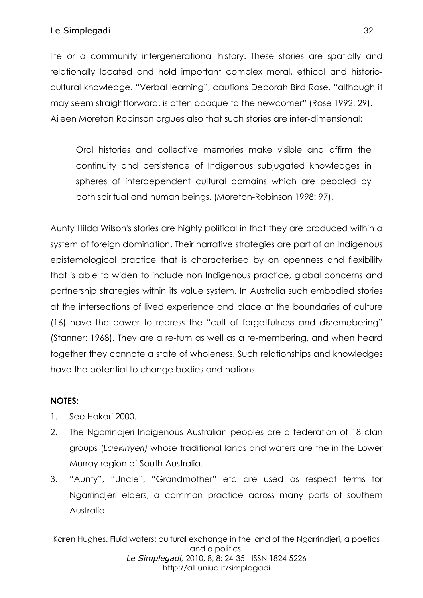life or a community intergenerational history. These stories are spatially and relationally located and hold important complex moral, ethical and historiocultural knowledge. "Verbal learning", cautions Deborah Bird Rose, "although it may seem straightforward, is often opaque to the newcomer" (Rose 1992: 29). Aileen Moreton Robinson argues also that such stories are inter-dimensional:

Oral histories and collective memories make visible and affirm the continuity and persistence of Indigenous subjugated knowledges in spheres of interdependent cultural domains which are peopled by both spiritual and human beings. (Moreton-Robinson 1998: 97).

Aunty Hilda Wilson's stories are highly political in that they are produced within a system of foreign domination. Their narrative strategies are part of an Indigenous epistemological practice that is characterised by an openness and flexibility that is able to widen to include non Indigenous practice, global concerns and partnership strategies within its value system. In Australia such embodied stories at the intersections of lived experience and place at the boundaries of culture (16) have the power to redress the "cult of forgetfulness and disremebering" (Stanner: 1968). They are a re-turn as well as a re-membering, and when heard together they connote a state of wholeness. Such relationships and knowledges have the potential to change bodies and nations.

# **NOTES:**

- 1. See Hokari 2000.
- 2. The Naarrindieri Indigenous Australian peoples are a federation of 18 clan groups (*Laekinyeri)* whose traditional lands and waters are the in the Lower Murray region of South Australia.
- 3. "Aunty", "Uncle", "Grandmother" etc are used as respect terms for Ngarrindjeri elders, a common practice across many parts of southern Australia.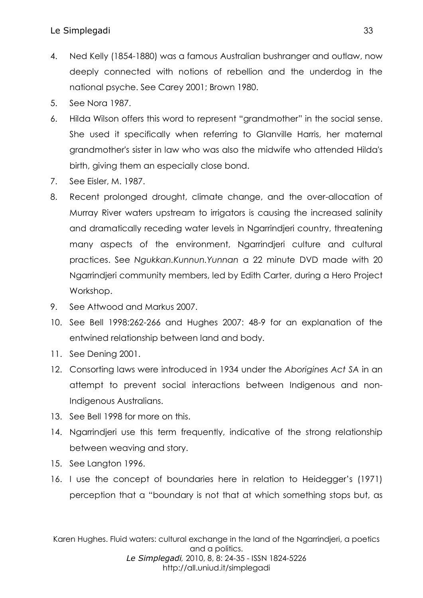- 4. Ned Kelly (1854-1880) was a famous Australian bushranger and outlaw, now deeply connected with notions of rebellion and the underdog in the national psyche. See Carey 2001; Brown 1980.
- 5. See Nora 1987.
- 6. Hilda Wilson offers this word to represent "grandmother" in the social sense. She used it specifically when referring to Glanville Harris, her maternal grandmother's sister in law who was also the midwife who attended Hilda's birth, giving them an especially close bond.
- 7. See Eisler, M. 1987.
- 8. Recent prolonged drought, climate change, and the over-allocation of Murray River waters upstream to irrigators is causing the increased salinity and dramatically receding water levels in Ngarrindjeri country, threatening many aspects of the environment, Ngarrindjeri culture and cultural practices. See *Ngukkan.Kunnun.Yunnan* a 22 minute DVD made with 20 Ngarrindjeri community members, led by Edith Carter, during a Hero Project Workshop.
- 9. See Attwood and Markus 2007.
- 10. See Bell 1998:262-266 and Hughes 2007: 48-9 for an explanation of the entwined relationship between land and body.
- 11. See Dening 2001.
- 12. Consorting laws were introduced in 1934 under the *Aborigines Act SA* in an attempt to prevent social interactions between Indigenous and non-Indigenous Australians.
- 13. See Bell 1998 for more on this.
- 14. Nagrindieri use this term frequently, indicative of the strong relationship between weaving and story.
- 15. See Langton 1996.
- 16. I use the concept of boundaries here in relation to Heidegger's (1971) perception that a "boundary is not that at which something stops but, as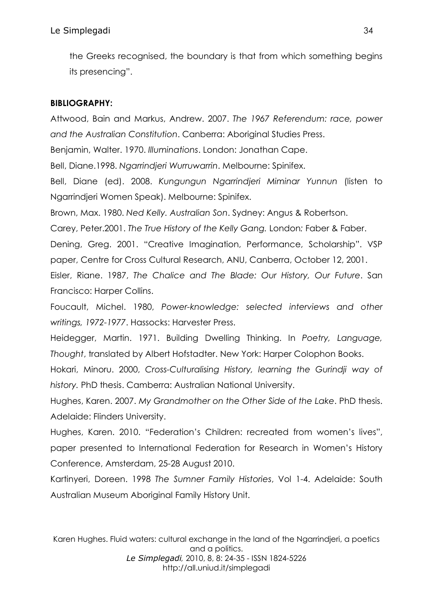the Greeks recognised, the boundary is that from which something begins its presencing".

## **BIBLIOGRAPHY:**

Attwood, Bain and Markus, Andrew. 2007. *The 1967 Referendum: race, power and the Australian Constitution*. Canberra: Aboriginal Studies Press.

Benjamin, Walter. 1970. *Illuminations*. London: Jonathan Cape.

Bell, Diane.1998. *Ngarrindjeri Wurruwarrin*. Melbourne: Spinifex.

Bell, Diane (ed). 2008. *Kungungun Ngarrindjeri Miminar Yunnun* (listen to Ngarrindjeri Women Speak). Melbourne: Spinifex.

Brown, Max. 1980. *Ned Kelly. Australian Son*. Sydney: Angus & Robertson.

Carey, Peter.2001. *The True History of the Kelly Gang.* London*:* Faber & Faber.

Dening, Greg. 2001. "Creative Imagination, Performance, Scholarship". VSP paper, Centre for Cross Cultural Research, ANU, Canberra, October 12, 2001.

Eisler, Riane. 1987, *The Chalice and The Blade: Our History, Our Future*. San Francisco: Harper Collins.

Foucault, Michel. 1980, *Power-knowledge: selected interviews and other writings, 1972-1977*. Hassocks: Harvester Press.

Heidegger, Martin. 1971. Building Dwelling Thinking. In *Poetry, Language, Thought*, translated by Albert Hofstadter. New York: Harper Colophon Books.

Hokari, Minoru. 2000, *Cross-Culturalising History, learning the Gurindji way of history.* PhD thesis. Camberra: Australian National University.

Hughes, Karen. 2007. *My Grandmother on the Other Side of the Lake*. PhD thesis. Adelaide: Flinders University.

Hughes, Karen. 2010. "Federation's Children: recreated from women's lives", paper presented to International Federation for Research in Women's History Conference, Amsterdam, 25-28 August 2010.

Kartinyeri, Doreen. 1998 *The Sumner Family Histories*, Vol 1-4. Adelaide: South Australian Museum Aboriginal Family History Unit.